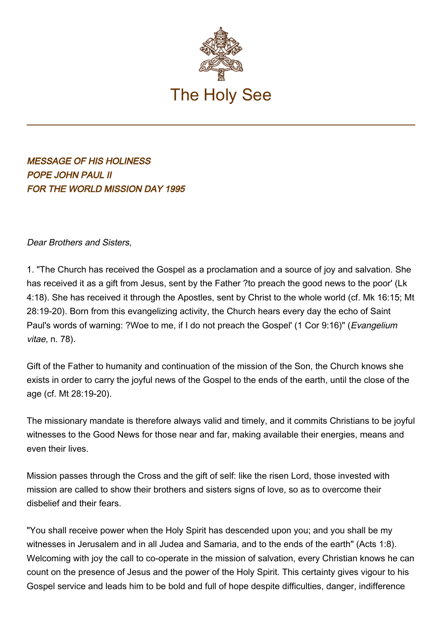

MESSAGE OF HIS HOLINESS POPE JOHN PAUL II FOR THE WORLD MISSION DAY 1995

Dear Brothers and Sisters,

1. "The Church has received the Gospel as a proclamation and a source of joy and salvation. She has received it as a gift from Jesus, sent by the Father ?to preach the good news to the poor' (Lk 4:18). She has received it through the Apostles, sent by Christ to the whole world (cf. Mk 16:15; Mt 28:19-20). Born from this evangelizing activity, the Church hears every day the echo of Saint Paul's words of warning: ?Woe to me, if I do not preach the Gospel' (1 Cor 9:16)" (*Evangelium* vitae, n. 78).

Gift of the Father to humanity and continuation of the mission of the Son, the Church knows she exists in order to carry the joyful news of the Gospel to the ends of the earth, until the close of the age (cf. Mt 28:19-20).

The missionary mandate is therefore always valid and timely, and it commits Christians to be joyful witnesses to the Good News for those near and far, making available their energies, means and even their lives.

Mission passes through the Cross and the gift of self: like the risen Lord, those invested with mission are called to show their brothers and sisters signs of love, so as to overcome their disbelief and their fears.

"You shall receive power when the Holy Spirit has descended upon you; and you shall be my witnesses in Jerusalem and in all Judea and Samaria, and to the ends of the earth" (Acts 1:8). Welcoming with joy the call to co-operate in the mission of salvation, every Christian knows he can count on the presence of Jesus and the power of the Holy Spirit. This certainty gives vigour to his Gospel service and leads him to be bold and full of hope despite difficulties, danger, indifference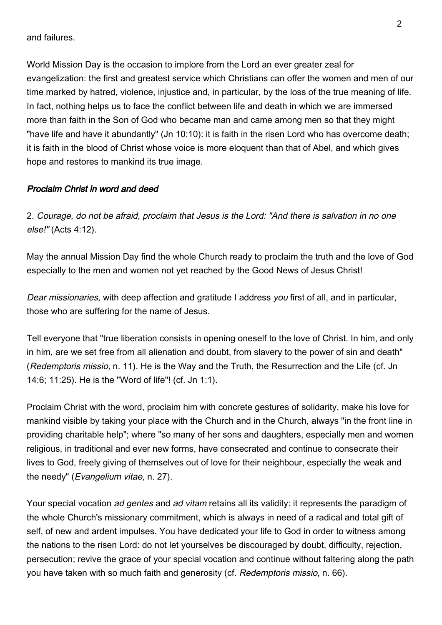and failures.

World Mission Day is the occasion to implore from the Lord an ever greater zeal for evangelization: the first and greatest service which Christians can offer the women and men of our time marked by hatred, violence, injustice and, in particular, by the loss of the true meaning of life. In fact, nothing helps us to face the conflict between life and death in which we are immersed more than faith in the Son of God who became man and came among men so that they might "have life and have it abundantly" (Jn 10:10): it is faith in the risen Lord who has overcome death; it is faith in the blood of Christ whose voice is more eloquent than that of Abel, and which gives hope and restores to mankind its true image.

## Proclaim Christ in word and deed

2. Courage, do not be afraid, proclaim that Jesus is the Lord: "And there is salvation in no one else!" (Acts 4:12).

May the annual Mission Day find the whole Church ready to proclaim the truth and the love of God especially to the men and women not yet reached by the Good News of Jesus Christ!

Dear missionaries, with deep affection and gratitude I address you first of all, and in particular, those who are suffering for the name of Jesus.

Tell everyone that "true liberation consists in opening oneself to the love of Christ. In him, and only in him, are we set free from all alienation and doubt, from slavery to the power of sin and death" (Redemptoris missio, n. 11). He is the Way and the Truth, the Resurrection and the Life (cf. Jn 14:6; 11:25). He is the "Word of life"! (cf. Jn 1:1).

Proclaim Christ with the word, proclaim him with concrete gestures of solidarity, make his love for mankind visible by taking your place with the Church and in the Church, always "in the front line in providing charitable help"; where "so many of her sons and daughters, especially men and women religious, in traditional and ever new forms, have consecrated and continue to consecrate their lives to God, freely giving of themselves out of love for their neighbour, especially the weak and the needy" (Evangelium vitae, n. 27).

Your special vocation ad gentes and ad vitam retains all its validity: it represents the paradigm of the whole Church's missionary commitment, which is always in need of a radical and total gift of self, of new and ardent impulses. You have dedicated your life to God in order to witness among the nations to the risen Lord: do not let yourselves be discouraged by doubt, difficulty, rejection, persecution; revive the grace of your special vocation and continue without faltering along the path you have taken with so much faith and generosity (cf. Redemptoris missio, n. 66).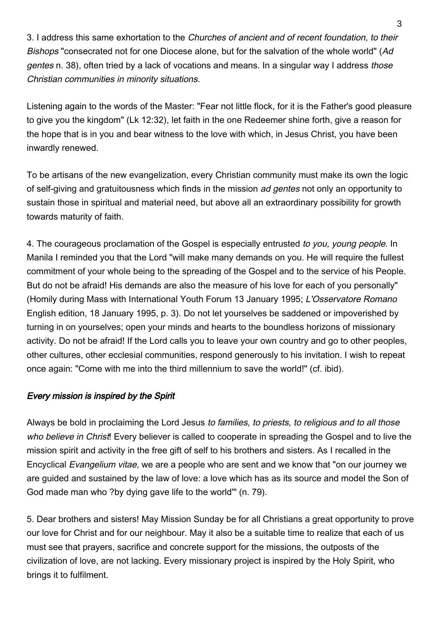3. I address this same exhortation to the Churches of ancient and of recent foundation, to their Bishops "consecrated not for one Diocese alone, but for the salvation of the whole world" (Ad gentes n. 38), often tried by a lack of vocations and means. In a singular way I address those Christian communities in minority situations.

Listening again to the words of the Master: "Fear not little flock, for it is the Father's good pleasure to give you the kingdom" (Lk 12:32), let faith in the one Redeemer shine forth, give a reason for the hope that is in you and bear witness to the love with which, in Jesus Christ, you have been inwardly renewed.

To be artisans of the new evangelization, every Christian community must make its own the logic of self-giving and gratuitousness which finds in the mission ad gentes not only an opportunity to sustain those in spiritual and material need, but above all an extraordinary possibility for growth towards maturity of faith.

4. The courageous proclamation of the Gospel is especially entrusted to you, young people. In Manila I reminded you that the Lord "will make many demands on you. He will require the fullest commitment of your whole being to the spreading of the Gospel and to the service of his People. But do not be afraid! His demands are also the measure of his love for each of you personally" (Homily during Mass with International Youth Forum 13 January 1995; L'Osservatore Romano English edition, 18 January 1995, p. 3). Do not let yourselves be saddened or impoverished by turning in on yourselves; open your minds and hearts to the boundless horizons of missionary activity. Do not be afraid! If the Lord calls you to leave your own country and go to other peoples, other cultures, other ecclesial communities, respond generously to his invitation. I wish to repeat once again: "Come with me into the third millennium to save the world!" (cf. ibid).

## Every mission is inspired by the Spirit

Always be bold in proclaiming the Lord Jesus to families, to priests, to religious and to all those who believe in Christ! Every believer is called to cooperate in spreading the Gospel and to live the mission spirit and activity in the free gift of self to his brothers and sisters. As I recalled in the Encyclical Evangelium vitae, we are a people who are sent and we know that "on our journey we are guided and sustained by the law of love: a love which has as its source and model the Son of God made man who ?by dying gave life to the world'" (n. 79).

5. Dear brothers and sisters! May Mission Sunday be for all Christians a great opportunity to prove our love for Christ and for our neighbour. May it also be a suitable time to realize that each of us must see that prayers, sacrifice and concrete support for the missions, the outposts of the civilization of love, are not lacking. Every missionary project is inspired by the Holy Spirit, who brings it to fulfilment.